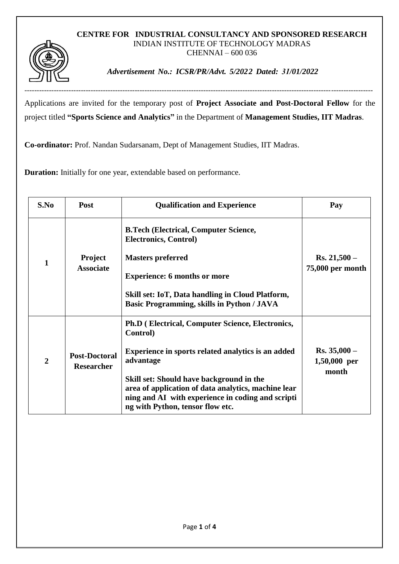## **CENTRE FOR INDUSTRIAL CONSULTANCY AND SPONSORED RESEARCH** INDIAN INSTITUTE OF TECHNOLOGY MADRAS CHENNAI – 600 036

----------------------------------------------------------------------------------------------------------------------------------------------



*Advertisement No.: ICSR/PR/Advt. 5/2022 Dated: 31/01/2022* 

Applications are invited for the temporary post of **Project Associate and Post-Doctoral Fellow** for the project titled **"Sports Science and Analytics"** in the Department of **Management Studies, IIT Madras**.

**Co-ordinator:** Prof. Nandan Sudarsanam, Dept of Management Studies, IIT Madras.

**Duration:** Initially for one year, extendable based on performance.

| S.No           | Post                                      | <b>Qualification and Experience</b>                                                                                                                                                      | Pay                                     |
|----------------|-------------------------------------------|------------------------------------------------------------------------------------------------------------------------------------------------------------------------------------------|-----------------------------------------|
| $\mathbf{1}$   | <b>Project</b><br><b>Associate</b>        | <b>B.Tech (Electrical, Computer Science,</b><br><b>Electronics, Control)</b>                                                                                                             | $Rs. 21,500 -$<br>75,000 per month      |
|                |                                           | <b>Masters preferred</b>                                                                                                                                                                 |                                         |
|                |                                           | <b>Experience: 6 months or more</b>                                                                                                                                                      |                                         |
|                |                                           | Skill set: IoT, Data handling in Cloud Platform,<br><b>Basic Programming, skills in Python / JAVA</b>                                                                                    |                                         |
| $\overline{2}$ | <b>Post-Doctoral</b><br><b>Researcher</b> | <b>Ph.D</b> (Electrical, Computer Science, Electronics,<br>Control)                                                                                                                      | $Rs. 35,000 -$<br>1,50,000 per<br>month |
|                |                                           | <b>Experience in sports related analytics is an added</b><br>advantage                                                                                                                   |                                         |
|                |                                           | Skill set: Should have background in the<br>area of application of data analytics, machine lear<br>ning and AI with experience in coding and scripti<br>ng with Python, tensor flow etc. |                                         |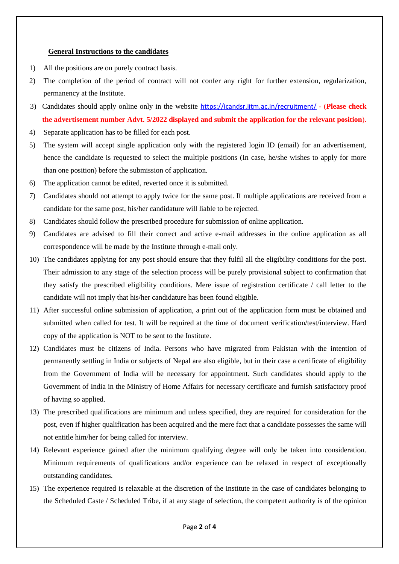## **General Instructions to the candidates**

- 1) All the positions are on purely contract basis.
- 2) The completion of the period of contract will not confer any right for further extension, regularization, permanency at the Institute.
- 3) Candidates should apply online only in the website <https://icandsr.iitm.ac.in/recruitment/> (**Please check the advertisement number Advt. 5/2022 displayed and submit the application for the relevant position**).
- 4) Separate application has to be filled for each post.
- 5) The system will accept single application only with the registered login ID (email) for an advertisement, hence the candidate is requested to select the multiple positions (In case, he/she wishes to apply for more than one position) before the submission of application.
- 6) The application cannot be edited, reverted once it is submitted.
- 7) Candidates should not attempt to apply twice for the same post. If multiple applications are received from a candidate for the same post, his/her candidature will liable to be rejected.
- 8) Candidates should follow the prescribed procedure for submission of online application.
- 9) Candidates are advised to fill their correct and active e-mail addresses in the online application as all correspondence will be made by the Institute through e-mail only.
- 10) The candidates applying for any post should ensure that they fulfil all the eligibility conditions for the post. Their admission to any stage of the selection process will be purely provisional subject to confirmation that they satisfy the prescribed eligibility conditions. Mere issue of registration certificate / call letter to the candidate will not imply that his/her candidature has been found eligible.
- 11) After successful online submission of application, a print out of the application form must be obtained and submitted when called for test. It will be required at the time of document verification/test/interview. Hard copy of the application is NOT to be sent to the Institute.
- 12) Candidates must be citizens of India. Persons who have migrated from Pakistan with the intention of permanently settling in India or subjects of Nepal are also eligible, but in their case a certificate of eligibility from the Government of India will be necessary for appointment. Such candidates should apply to the Government of India in the Ministry of Home Affairs for necessary certificate and furnish satisfactory proof of having so applied.
- 13) The prescribed qualifications are minimum and unless specified, they are required for consideration for the post, even if higher qualification has been acquired and the mere fact that a candidate possesses the same will not entitle him/her for being called for interview.
- 14) Relevant experience gained after the minimum qualifying degree will only be taken into consideration. Minimum requirements of qualifications and/or experience can be relaxed in respect of exceptionally outstanding candidates.
- 15) The experience required is relaxable at the discretion of the Institute in the case of candidates belonging to the Scheduled Caste / Scheduled Tribe, if at any stage of selection, the competent authority is of the opinion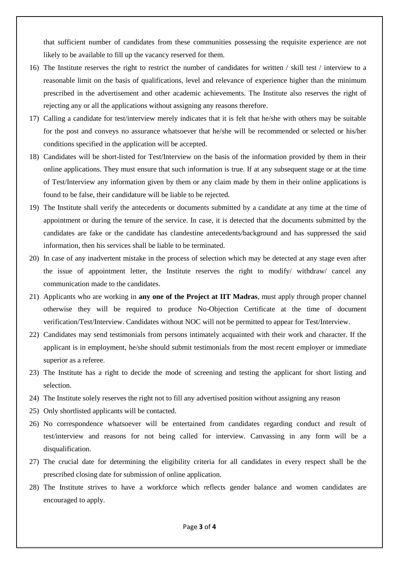that sufficient number of candidates from these communities possessing the requisite experience are not likely to be available to fill up the vacancy reserved for them.

- 16) The Institute reserves the right to restrict the number of candidates for written / skill test / interview to a reasonable limit on the basis of qualifications, level and relevance of experience higher than the minimum prescribed in the advertisement and other academic achievements. The Institute also reserves the right of rejecting any or all the applications without assigning any reasons therefore.
- 17) Calling a candidate for test/interview merely indicates that it is felt that he/she with others may be suitable for the post and conveys no assurance whatsoever that he/she will be recommended or selected or his/her conditions specified in the application will be accepted.
- 18) Candidates will be short-listed for Test/Interview on the basis of the information provided by them in their online applications. They must ensure that such information is true. If at any subsequent stage or at the time of Test/Interview any information given by them or any claim made by them in their online applications is found to be false, their candidature will be liable to be rejected.
- 19) The Institute shall verify the antecedents or documents submitted by a candidate at any time at the time of appointment or during the tenure of the service. In case, it is detected that the documents submitted by the candidates are fake or the candidate has clandestine antecedents/background and has suppressed the said information, then his services shall be liable to be terminated.
- 20) In case of any inadvertent mistake in the process of selection which may be detected at any stage even after the issue of appointment letter, the Institute reserves the right to modify/ withdraw/ cancel any communication made to the candidates.
- 21) Applicants who are working in **any one of the Project at IIT Madras**, must apply through proper channel otherwise they will be required to produce No-Objection Certificate at the time of document verification/Test/Interview. Candidates without NOC will not be permitted to appear for Test/Interview.
- 22) Candidates may send testimonials from persons intimately acquainted with their work and character. If the applicant is in employment, he/she should submit testimonials from the most recent employer or immediate superior as a referee.
- 23) The Institute has a right to decide the mode of screening and testing the applicant for short listing and selection.
- 24) The Institute solely reserves the right not to fill any advertised position without assigning any reason
- 25) Only shortlisted applicants will be contacted.
- 26) No correspondence whatsoever will be entertained from candidates regarding conduct and result of test/interview and reasons for not being called for interview. Canvassing in any form will be a disqualification.
- 27) The crucial date for determining the eligibility criteria for all candidates in every respect shall be the prescribed closing date for submission of online application.
- 28) The Institute strives to have a workforce which reflects gender balance and women candidates are encouraged to apply.